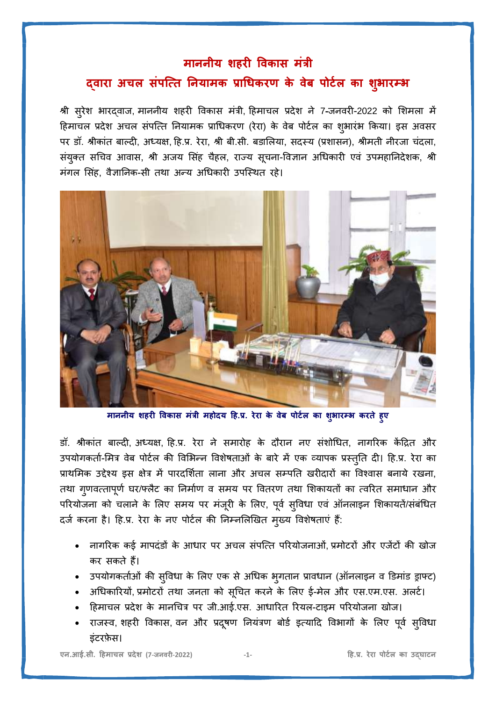## **माननीय शिरी ववकास मंत्री**

## **द्वारा अचल संपत्ति ननयामक प्राधिकरण के वेब पोर्टल का शभ ु ारम्भ**

श्री सरुेश भारद्वाज, माननीय शहरी ववकास मंत्री, हहमाचल प्रदेश ने 7**-**जनवरी-2022 को शशमला में हिमाचल प्रदेश अचल संपत्ति नियामक प्राधिकरण (रेरा) के वेब पोर्टल का शुभारंभ किया। इस अवसर पर डॉ. श्रीकांत बाल्दी, अध्यक्ष, हि.प्र. रेरा, श्री बी.सी. बडालिया, सदस्य (प्रशासन), श्रीमती नीरजा चंदला, संयुक्त सचिव आवास, श्री अजय सिंह चैहल, राज्य सूचना-विज्ञान अधिकारी एवं उपमहानिदेशक, श्री मंगल सिंह, वैज्ञानिक-सी तथा अन्य अधिकारी उपस्थित रहे।



**माननीय शिरी ववकास मंत्री मिोदय हि.प्र. रेरा के वेब पोर्टल का शुभारम्भ करिे िुए**

डॉ. श्रीकांत बाल्दी, अध्यक्ष, हि.प्र. रेरा ने समारोह के दौरान नए संशोधित, नागरिक केंद्रित और उपयोगकर्ता-मित्र वेब पोर्टल की विभिन्न विशेषताओं के बारे में एक व्यापक प्रस्तुति दी। हि.प्र. रेरा का प्राथमिक उद्देश्य इस क्षेत्र में पारदर्शिता लाना और अचल सम्पति खरीदारों का विश्वास बनाये रखना, तथा गुणवत्तापूर्ण घर/फ्लैट का निर्माण व समय पर वितरण तथा शिकायतों का त्वरित समाधान और परियोजना को चलाने के लिए समय पर मंजूरी के लिए, पूर्व सुविधा एवं ऑनलाइन शिकायतें/संबंधित दर्ज करना है। हि.प्र. रेरा के नए पोर्टल की निम्नलिखित मुख्य विशेषताएं हैं:

- नागररक कई मापदंडों के आिार पर अचल संपत्ति पररयोजनाओं, प्रमोर्रों और एजेंर्ों की खोज कर सकिे हैं।
- उपयोगकिाटओं की सवुविा के शलए एक सेअधिक भगु िान प्राविान (ऑनलाइन व डडमांड ड्राफ्र्)
- अधिकारियों, प्रमोटरों तथा जनता को सूचित करने के लिए ई-मेल और एस.एम.एस. अलर्ट।
- हिमाचल प्रदेश के मानचित्र पर जी.आई.एस. आधारित रियल-टाइम परियोजना खोज।
- राजस्व, शहरी विकास, वन और प्रदूषण नियंत्रण बोर्ड इत्यादि विभागों के लिए पूर्व सुविधा इंटरफ़ेस।

**एन.आई.सी. हिमाचल प्रदेश (7**-**जनवरी**-**2022) -1- हि.प्र. रेरा पोर्टल का उद्घार्न**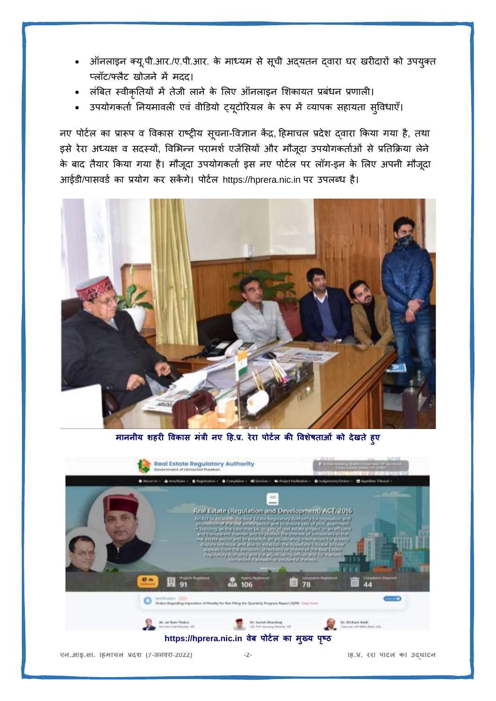- ऑनलाइन क्यू.पी.आर./ए.पी.आर. के माध्यम से सूची अद्यतन द्वारा घर खरीदारों को उपयुक्त प्लॉर्/फ्लैर् खोजने में मदद।
- लबं बि स्वीकृनियों में िेजी लाने के शलए ऑनलाइन शशकायि प्रबंिन प्रणाली।
- उपयोगकर्ता नियमावली एवं वीडियो ट्यूटोरियल के रूप में व्यापक सहायता सुविधाएँ।

नए पोर्टल का प्रारूप व विकास राष्ट्रीय सूचना-विज्ञान केंद्र, हिमाचल प्रदेश दवारा किया गया है, तथा इसे रेरा अध्यक्ष व सदस्यों, विभिन्न परामर्श एजेंसियों और मौजूदा उपयोगकर्ताओं से प्रतिक्रिया लेने के बाद तैयार किया गया है। मौजूदा उपयोगकर्ता इस नए पोर्टल पर लॉग-इन के लिए अपनी मौजूदा आईडी/पासवर्ड का प्रयोग कर सकेंगे। पोर्टल https://hprera.nic.in पर उपलब्ध है।



**माननीय शिरी ववकास मंत्री नए हि.प्र. रेरा पोर्टल की ववशेषिाओं को देखिे िुए**

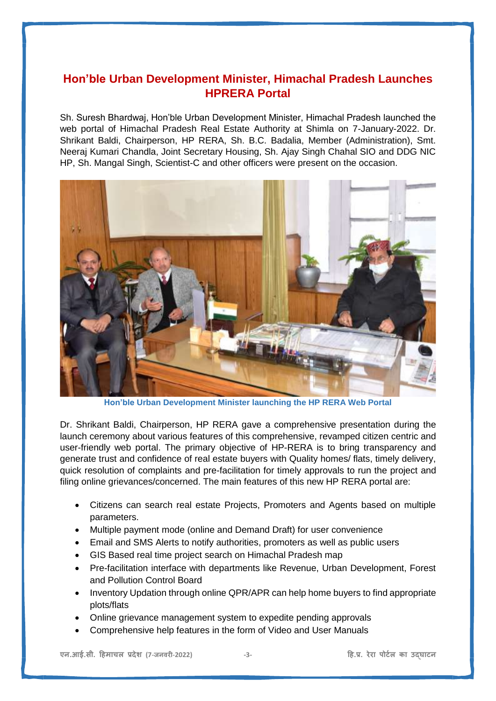## **Hon'ble Urban Development Minister, Himachal Pradesh Launches HPRERA Portal**

Sh. Suresh Bhardwaj, Hon'ble Urban Development Minister, Himachal Pradesh launched the web portal of Himachal Pradesh Real Estate Authority at Shimla on 7-January-2022. Dr. Shrikant Baldi, Chairperson, HP RERA, Sh. B.C. Badalia, Member (Administration), Smt. Neeraj Kumari Chandla, Joint Secretary Housing, Sh. Ajay Singh Chahal SIO and DDG NIC HP, Sh. Mangal Singh, Scientist-C and other officers were present on the occasion.



**Hon'ble Urban Development Minister launching the HP RERA Web Portal**

Dr. Shrikant Baldi, Chairperson, HP RERA gave a comprehensive presentation during the launch ceremony about various features of this comprehensive, revamped citizen centric and user-friendly web portal. The primary objective of HP-RERA is to bring transparency and generate trust and confidence of real estate buyers with Quality homes/ flats, timely delivery, quick resolution of complaints and pre-facilitation for timely approvals to run the project and filing online grievances/concerned. The main features of this new HP RERA portal are:

- Citizens can search real estate Projects, Promoters and Agents based on multiple parameters.
- Multiple payment mode (online and Demand Draft) for user convenience
- Email and SMS Alerts to notify authorities, promoters as well as public users
- GIS Based real time project search on Himachal Pradesh map
- Pre-facilitation interface with departments like Revenue, Urban Development, Forest and Pollution Control Board
- Inventory Updation through online QPR/APR can help home buyers to find appropriate plots/flats
- Online grievance management system to expedite pending approvals
- Comprehensive help features in the form of Video and User Manuals